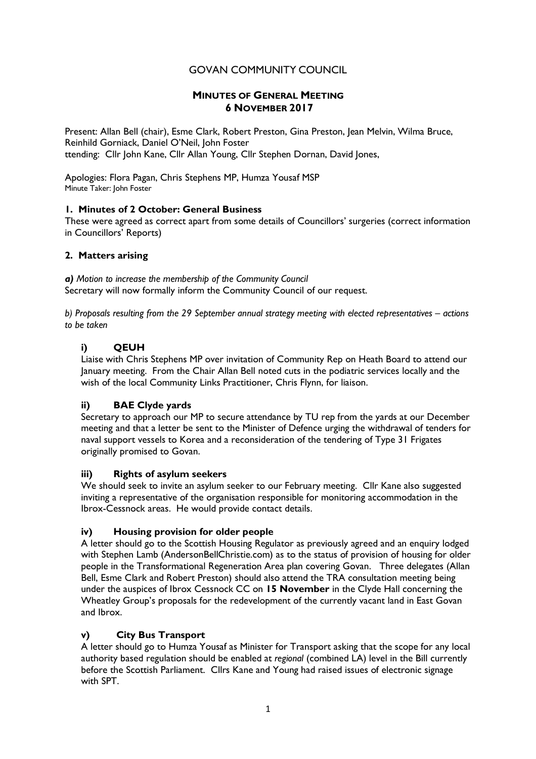# GOVAN COMMUNITY COUNCIL

## **MINUTES OF GENERAL MEETING 6 NOVEMBER 2017**

Present: Allan Bell (chair), Esme Clark, Robert Preston, Gina Preston, Jean Melvin, Wilma Bruce, Reinhild Gorniack, Daniel O'Neil, John Foster ttending: Cllr John Kane, Cllr Allan Young, Cllr Stephen Dornan, David Jones,

Apologies: Flora Pagan, Chris Stephens MP, Humza Yousaf MSP Minute Taker: John Foster

## **1. Minutes of 2 October: General Business**

These were agreed as correct apart from some details of Councillors' surgeries (correct information in Councillors' Reports)

## **2. Matters arising**

*a) Motion to increase the membership of the Community Council* Secretary will now formally inform the Community Council of our request.

*b) Proposals resulting from the 29 September annual strategy meeting with elected representatives – actions to be taken*

## **i) QEUH**

Liaise with Chris Stephens MP over invitation of Community Rep on Heath Board to attend our January meeting. From the Chair Allan Bell noted cuts in the podiatric services locally and the wish of the local Community Links Practitioner, Chris Flynn, for liaison.

## **ii) BAE Clyde yards**

Secretary to approach our MP to secure attendance by TU rep from the yards at our December meeting and that a letter be sent to the Minister of Defence urging the withdrawal of tenders for naval support vessels to Korea and a reconsideration of the tendering of Type 31 Frigates originally promised to Govan.

### **iii) Rights of asylum seekers**

We should seek to invite an asylum seeker to our February meeting. Cllr Kane also suggested inviting a representative of the organisation responsible for monitoring accommodation in the Ibrox-Cessnock areas. He would provide contact details.

### **iv) Housing provision for older people**

A letter should go to the Scottish Housing Regulator as previously agreed and an enquiry lodged with Stephen Lamb (AndersonBellChristie.com) as to the status of provision of housing for older people in the Transformational Regeneration Area plan covering Govan. Three delegates (Allan Bell, Esme Clark and Robert Preston) should also attend the TRA consultation meeting being under the auspices of Ibrox Cessnock CC on **15 November** in the Clyde Hall concerning the Wheatley Group's proposals for the redevelopment of the currently vacant land in East Govan and Ibrox.

## **v) City Bus Transport**

A letter should go to Humza Yousaf as Minister for Transport asking that the scope for any local authority based regulation should be enabled at *regional* (combined LA) level in the Bill currently before the Scottish Parliament. Cllrs Kane and Young had raised issues of electronic signage with SPT.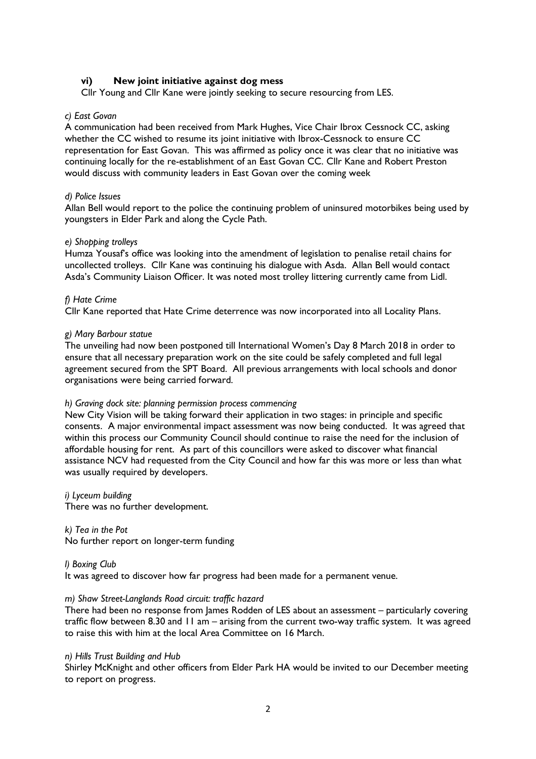### **vi) New joint initiative against dog mess**

Cllr Young and Cllr Kane were jointly seeking to secure resourcing from LES.

#### *c) East Govan*

A communication had been received from Mark Hughes, Vice Chair Ibrox Cessnock CC, asking whether the CC wished to resume its joint initiative with Ibrox-Cessnock to ensure CC representation for East Govan. This was affirmed as policy once it was clear that no initiative was continuing locally for the re-establishment of an East Govan CC. Cllr Kane and Robert Preston would discuss with community leaders in East Govan over the coming week

#### *d) Police Issues*

Allan Bell would report to the police the continuing problem of uninsured motorbikes being used by youngsters in Elder Park and along the Cycle Path.

#### *e) Shopping trolleys*

Humza Yousaf's office was looking into the amendment of legislation to penalise retail chains for uncollected trolleys. Cllr Kane was continuing his dialogue with Asda. Allan Bell would contact Asda's Community Liaison Officer. It was noted most trolley littering currently came from Lidl.

#### *f) Hate Crime*

Cllr Kane reported that Hate Crime deterrence was now incorporated into all Locality Plans.

#### *g) Mary Barbour statue*

The unveiling had now been postponed till International Women's Day 8 March 2018 in order to ensure that all necessary preparation work on the site could be safely completed and full legal agreement secured from the SPT Board. All previous arrangements with local schools and donor organisations were being carried forward.

#### *h) Graving dock site: planning permission process commencing*

New City Vision will be taking forward their application in two stages: in principle and specific consents. A major environmental impact assessment was now being conducted. It was agreed that within this process our Community Council should continue to raise the need for the inclusion of affordable housing for rent. As part of this councillors were asked to discover what financial assistance NCV had requested from the City Council and how far this was more or less than what was usually required by developers.

### *i) Lyceum building*

There was no further development.

*k) Tea in the Pot* No further report on longer-term funding

*l) Boxing Club* It was agreed to discover how far progress had been made for a permanent venue.

#### *m) Shaw Street-Langlands Road circuit: traffic hazard*

There had been no response from James Rodden of LES about an assessment – particularly covering traffic flow between 8.30 and 11 am – arising from the current two-way traffic system. It was agreed to raise this with him at the local Area Committee on 16 March.

#### *n) Hills Trust Building and Hub*

Shirley McKnight and other officers from Elder Park HA would be invited to our December meeting to report on progress.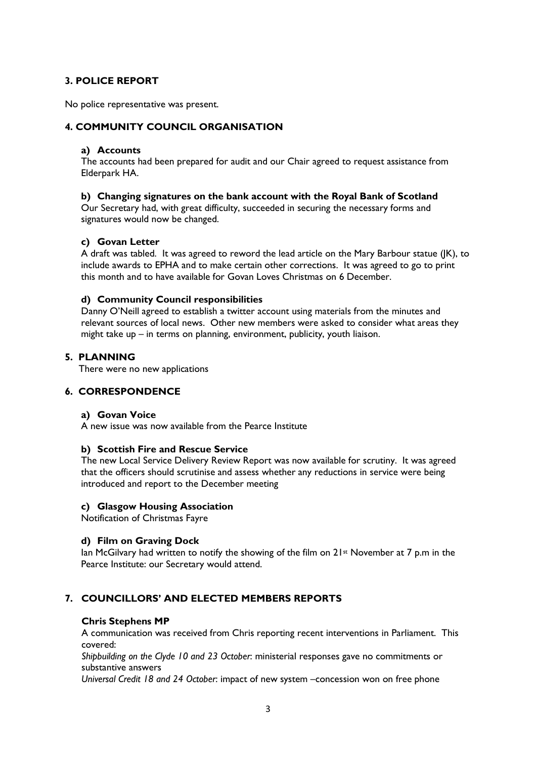## **3. POLICE REPORT**

No police representative was present.

## **4. COMMUNITY COUNCIL ORGANISATION**

### **a) Accounts**

The accounts had been prepared for audit and our Chair agreed to request assistance from Elderpark HA.

### **b) Changing signatures on the bank account with the Royal Bank of Scotland**

Our Secretary had, with great difficulty, succeeded in securing the necessary forms and signatures would now be changed.

### **c) Govan Letter**

A draft was tabled. It was agreed to reword the lead article on the Mary Barbour statue (JK), to include awards to EPHA and to make certain other corrections. It was agreed to go to print this month and to have available for Govan Loves Christmas on 6 December.

### **d) Community Council responsibilities**

Danny O'Neill agreed to establish a twitter account using materials from the minutes and relevant sources of local news. Other new members were asked to consider what areas they might take up – in terms on planning, environment, publicity, youth liaison.

### **5. PLANNING**

There were no new applications

## **6. CORRESPONDENCE**

### **a) Govan Voice**

A new issue was now available from the Pearce Institute

### **b) Scottish Fire and Rescue Service**

The new Local Service Delivery Review Report was now available for scrutiny. It was agreed that the officers should scrutinise and assess whether any reductions in service were being introduced and report to the December meeting

### **c) Glasgow Housing Association**

Notification of Christmas Fayre

### **d) Film on Graving Dock**

Ian McGilvary had written to notify the showing of the film on 21st November at 7 p.m in the Pearce Institute: our Secretary would attend.

## **7. COUNCILLORS' AND ELECTED MEMBERS REPORTS**

### **Chris Stephens MP**

 A communication was received from Chris reporting recent interventions in Parliament. This covered:

 *Shipbuilding on the Clyde 10 and 23 October*: ministerial responses gave no commitments or substantive answers

*Universal Credit 18 and 24 October*: impact of new system –concession won on free phone